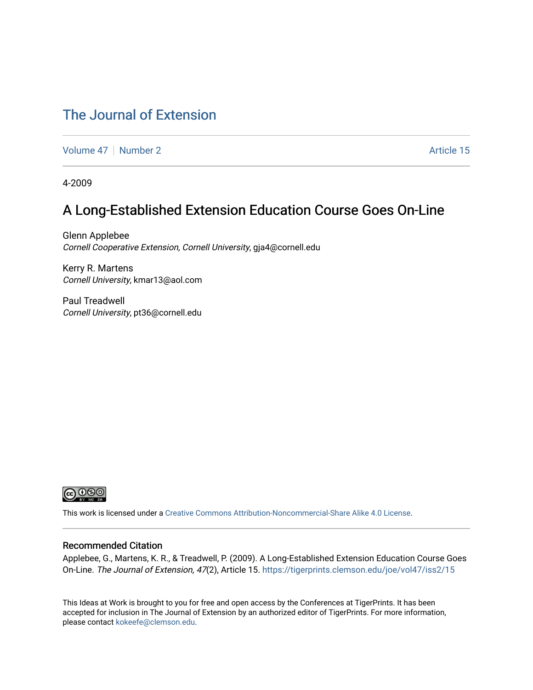#### [The Journal of Extension](https://tigerprints.clemson.edu/joe)

[Volume 47](https://tigerprints.clemson.edu/joe/vol47) | [Number 2](https://tigerprints.clemson.edu/joe/vol47/iss2) Article 15

4-2009

#### A Long-Established Extension Education Course Goes On-Line

Glenn Applebee Cornell Cooperative Extension, Cornell University, gja4@cornell.edu

Kerry R. Martens Cornell University, kmar13@aol.com

Paul Treadwell Cornell University, pt36@cornell.edu



This work is licensed under a [Creative Commons Attribution-Noncommercial-Share Alike 4.0 License.](https://creativecommons.org/licenses/by-nc-sa/4.0/)

#### Recommended Citation

Applebee, G., Martens, K. R., & Treadwell, P. (2009). A Long-Established Extension Education Course Goes On-Line. The Journal of Extension, 47(2), Article 15. <https://tigerprints.clemson.edu/joe/vol47/iss2/15>

This Ideas at Work is brought to you for free and open access by the Conferences at TigerPrints. It has been accepted for inclusion in The Journal of Extension by an authorized editor of TigerPrints. For more information, please contact [kokeefe@clemson.edu](mailto:kokeefe@clemson.edu).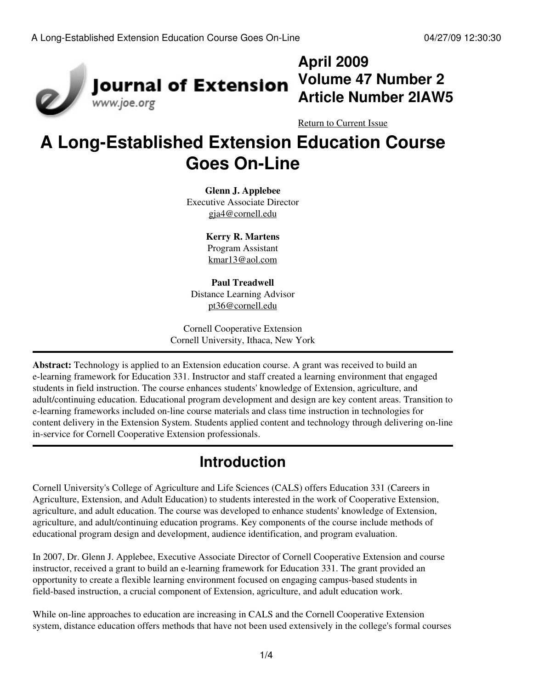

## **April 2009 Volume 47 Number 2 Article Number 2IAW5**

[Return to Current Issue](http://www.joe.org:80/joe/2009april/)

# **A Long-Established Extension Education Course Goes On-Line**

**Glenn J. Applebee** Executive Associate Director [gja4@cornell.edu](mailto:gja4@cornell.edu)

> **Kerry R. Martens** Program Assistant [kmar13@aol.com](mailto:kmar13@aol.com)

**Paul Treadwell** Distance Learning Advisor [pt36@cornell.edu](mailto:pt36@cornell.edu)

Cornell Cooperative Extension Cornell University, Ithaca, New York

**Abstract:** Technology is applied to an Extension education course. A grant was received to build an e-learning framework for Education 331. Instructor and staff created a learning environment that engaged students in field instruction. The course enhances students' knowledge of Extension, agriculture, and adult/continuing education. Educational program development and design are key content areas. Transition to e-learning frameworks included on-line course materials and class time instruction in technologies for content delivery in the Extension System. Students applied content and technology through delivering on-line in-service for Cornell Cooperative Extension professionals.

## **Introduction**

Cornell University's College of Agriculture and Life Sciences (CALS) offers Education 331 (Careers in Agriculture, Extension, and Adult Education) to students interested in the work of Cooperative Extension, agriculture, and adult education. The course was developed to enhance students' knowledge of Extension, agriculture, and adult/continuing education programs. Key components of the course include methods of educational program design and development, audience identification, and program evaluation.

In 2007, Dr. Glenn J. Applebee, Executive Associate Director of Cornell Cooperative Extension and course instructor, received a grant to build an e-learning framework for Education 331. The grant provided an opportunity to create a flexible learning environment focused on engaging campus-based students in field-based instruction, a crucial component of Extension, agriculture, and adult education work.

While on-line approaches to education are increasing in CALS and the Cornell Cooperative Extension system, distance education offers methods that have not been used extensively in the college's formal courses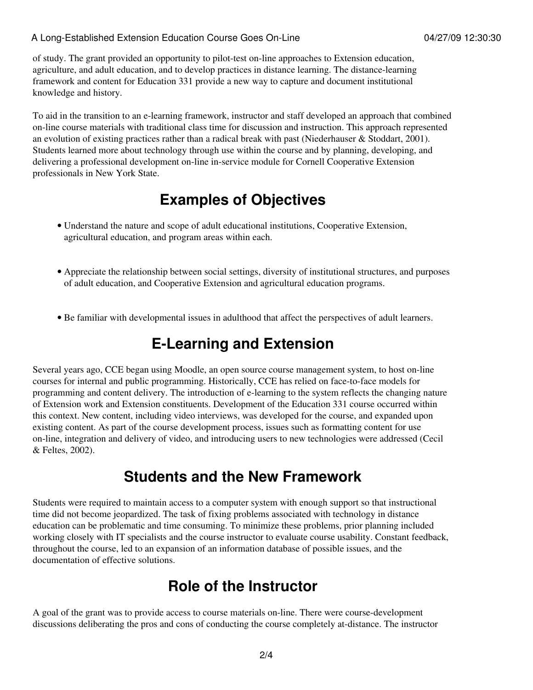of study. The grant provided an opportunity to pilot-test on-line approaches to Extension education, agriculture, and adult education, and to develop practices in distance learning. The distance-learning framework and content for Education 331 provide a new way to capture and document institutional knowledge and history.

To aid in the transition to an e-learning framework, instructor and staff developed an approach that combined on-line course materials with traditional class time for discussion and instruction. This approach represented an evolution of existing practices rather than a radical break with past (Niederhauser & Stoddart, 2001). Students learned more about technology through use within the course and by planning, developing, and delivering a professional development on-line in-service module for Cornell Cooperative Extension professionals in New York State.

## **Examples of Objectives**

- Understand the nature and scope of adult educational institutions, Cooperative Extension, agricultural education, and program areas within each.
- Appreciate the relationship between social settings, diversity of institutional structures, and purposes of adult education, and Cooperative Extension and agricultural education programs.
- Be familiar with developmental issues in adulthood that affect the perspectives of adult learners.

### **E-Learning and Extension**

Several years ago, CCE began using Moodle, an open source course management system, to host on-line courses for internal and public programming. Historically, CCE has relied on face-to-face models for programming and content delivery. The introduction of e-learning to the system reflects the changing nature of Extension work and Extension constituents. Development of the Education 331 course occurred within this context. New content, including video interviews, was developed for the course, and expanded upon existing content. As part of the course development process, issues such as formatting content for use on-line, integration and delivery of video, and introducing users to new technologies were addressed (Cecil & Feltes, 2002).

#### **Students and the New Framework**

Students were required to maintain access to a computer system with enough support so that instructional time did not become jeopardized. The task of fixing problems associated with technology in distance education can be problematic and time consuming. To minimize these problems, prior planning included working closely with IT specialists and the course instructor to evaluate course usability. Constant feedback, throughout the course, led to an expansion of an information database of possible issues, and the documentation of effective solutions.

### **Role of the Instructor**

A goal of the grant was to provide access to course materials on-line. There were course-development discussions deliberating the pros and cons of conducting the course completely at-distance. The instructor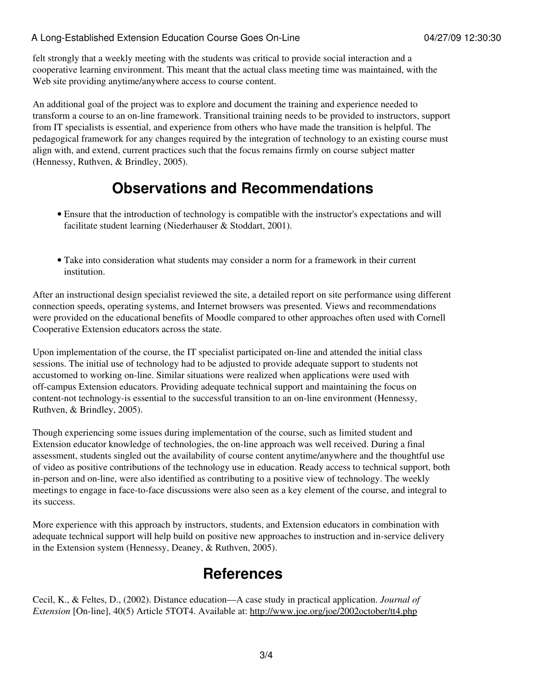#### A Long-Established Extension Education Course Goes On-Line 04/27/09 12:30:30

felt strongly that a weekly meeting with the students was critical to provide social interaction and a cooperative learning environment. This meant that the actual class meeting time was maintained, with the Web site providing anytime/anywhere access to course content.

An additional goal of the project was to explore and document the training and experience needed to transform a course to an on-line framework. Transitional training needs to be provided to instructors, support from IT specialists is essential, and experience from others who have made the transition is helpful. The pedagogical framework for any changes required by the integration of technology to an existing course must align with, and extend, current practices such that the focus remains firmly on course subject matter (Hennessy, Ruthven, & Brindley, 2005).

#### **Observations and Recommendations**

- Ensure that the introduction of technology is compatible with the instructor's expectations and will facilitate student learning (Niederhauser & Stoddart, 2001).
- Take into consideration what students may consider a norm for a framework in their current institution.

After an instructional design specialist reviewed the site, a detailed report on site performance using different connection speeds, operating systems, and Internet browsers was presented. Views and recommendations were provided on the educational benefits of Moodle compared to other approaches often used with Cornell Cooperative Extension educators across the state.

Upon implementation of the course, the IT specialist participated on-line and attended the initial class sessions. The initial use of technology had to be adjusted to provide adequate support to students not accustomed to working on-line. Similar situations were realized when applications were used with off-campus Extension educators. Providing adequate technical support and maintaining the focus on content-not technology-is essential to the successful transition to an on-line environment (Hennessy, Ruthven, & Brindley, 2005).

Though experiencing some issues during implementation of the course, such as limited student and Extension educator knowledge of technologies, the on-line approach was well received. During a final assessment, students singled out the availability of course content anytime/anywhere and the thoughtful use of video as positive contributions of the technology use in education. Ready access to technical support, both in-person and on-line, were also identified as contributing to a positive view of technology. The weekly meetings to engage in face-to-face discussions were also seen as a key element of the course, and integral to its success.

More experience with this approach by instructors, students, and Extension educators in combination with adequate technical support will help build on positive new approaches to instruction and in-service delivery in the Extension system (Hennessy, Deaney, & Ruthven, 2005).

#### **References**

Cecil, K., & Feltes, D., (2002). Distance education—A case study in practical application. *Journal of Extension* [On-line], 40(5) Article 5TOT4. Available at:<http://www.joe.org/joe/2002october/tt4.php>